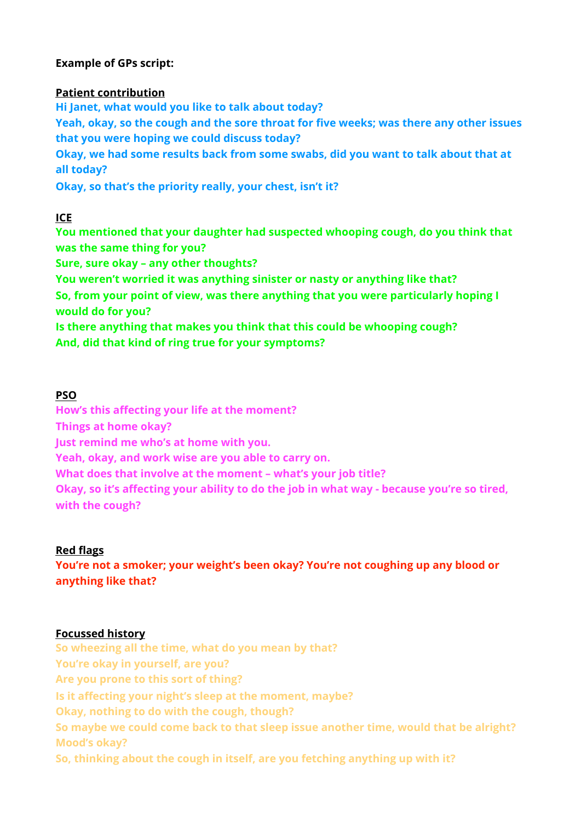# **Example of GPs script:**

### **Patient contribution**

**Hi Janet, what would you like to talk about today? Yeah, okay, so the cough and the sore throat for five weeks; was there any other issues that you were hoping we could discuss today? Okay, we had some results back from some swabs, did you want to talk about that at all today? Okay, so that's the priority really, your chest, isn't it?** 

### **ICE**

**You mentioned that your daughter had suspected whooping cough, do you think that was the same thing for you?** 

**Sure, sure okay – any other thoughts?** 

**You weren't worried it was anything sinister or nasty or anything like that?** 

**So, from your point of view, was there anything that you were particularly hoping I would do for you?** 

**Is there anything that makes you think that this could be whooping cough? And, did that kind of ring true for your symptoms?**

### **PSO**

**How's this affecting your life at the moment? Things at home okay? Just remind me who's at home with you. Yeah, okay, and work wise are you able to carry on. What does that involve at the moment – what's your job title? Okay, so it's affecting your ability to do the job in what way - because you're so tired, with the cough?** 

# **Red flags**

**You're not a smoker; your weight's been okay? You're not coughing up any blood or anything like that?** 

### **Focussed history**

**So wheezing all the time, what do you mean by that? You're okay in yourself, are you? Are you prone to this sort of thing? Is it affecting your night's sleep at the moment, maybe? Okay, nothing to do with the cough, though? So maybe we could come back to that sleep issue another time, would that be alright? Mood's okay? So, thinking about the cough in itself, are you fetching anything up with it?**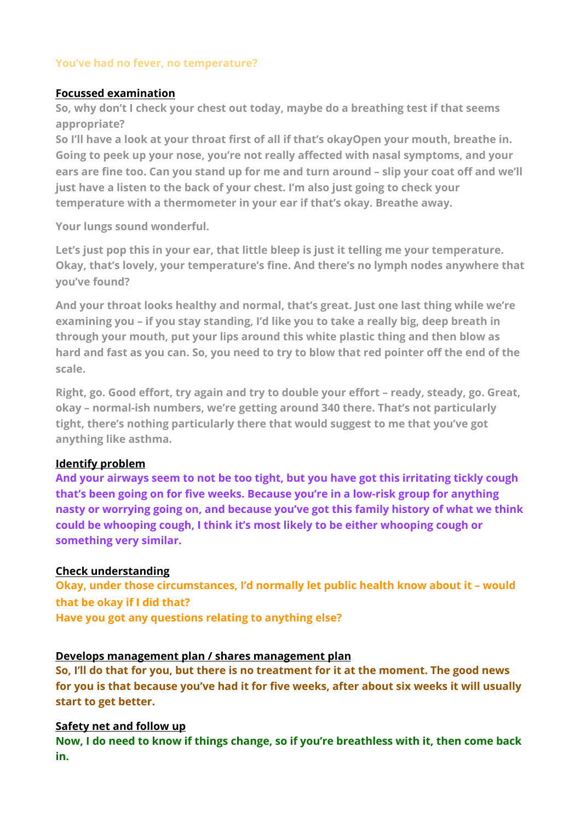### **You've had no fever, no temperature?**

#### **Focussed examination**

**So, why don't I check your chest out today, maybe do a breathing test if that seems appropriate?** 

**So I'll have a look at your throat first of all if that's okayOpen your mouth, breathe in. Going to peek up your nose, you're not really affected with nasal symptoms, and your ears are fine too. Can you stand up for me and turn around – slip your coat off and we'll just have a listen to the back of your chest. I'm also just going to check your temperature with a thermometer in your ear if that's okay. Breathe away.** 

**Your lungs sound wonderful.** 

**Let's just pop this in your ear, that little bleep is just it telling me your temperature. Okay, that's lovely, your temperature's fine. And there's no lymph nodes anywhere that you've found?** 

**And your throat looks healthy and normal, that's great. Just one last thing while we're examining you – if you stay standing, I'd like you to take a really big, deep breath in through your mouth, put your lips around this white plastic thing and then blow as hard and fast as you can. So, you need to try to blow that red pointer off the end of the scale.** 

**Right, go. Good effort, try again and try to double your effort – ready, steady, go. Great, okay – normal-ish numbers, we're getting around 340 there. That's not particularly tight, there's nothing particularly there that would suggest to me that you've got anything like asthma.** 

### **Identify problem**

**And your airways seem to not be too tight, but you have got this irritating tickly cough that's been going on for five weeks. Because you're in a low-risk group for anything nasty or worrying going on, and because you've got this family history of what we think could be whooping cough, I think it's most likely to be either whooping cough or something very similar.** 

### **Check understanding**

**Okay, under those circumstances, I'd normally let public health know about it – would that be okay if I did that?** 

**Have you got any questions relating to anything else?** 

### **Develops management plan / shares management plan**

**So, I'll do that for you, but there is no treatment for it at the moment. The good news for you is that because you've had it for five weeks, after about six weeks it will usually start to get better.** 

### **Safety net and follow up**

**Now, I do need to know if things change, so if you're breathless with it, then come back in.**